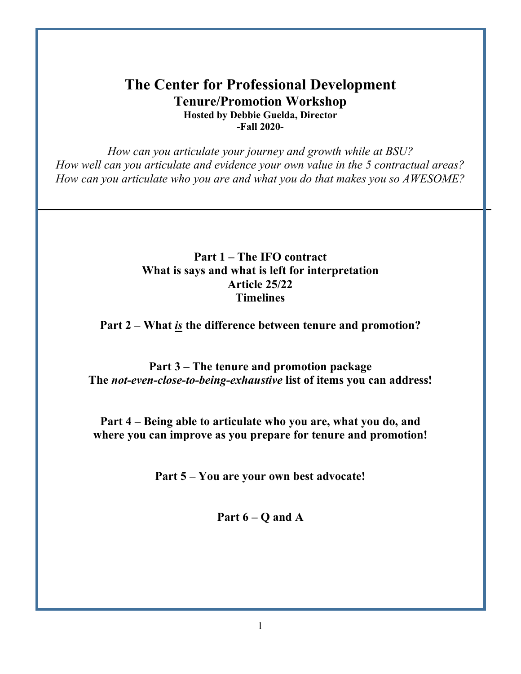### **The Center for Professional Development Tenure/Promotion Workshop Hosted by Debbie Guelda, Director -Fall 2020-**

*How can you articulate your journey and growth while at BSU? How well can you articulate and evidence your own value in the 5 contractual areas? How can you articulate who you are and what you do that makes you so AWESOME?*

### **Part 1 – The IFO contract What is says and what is left for interpretation Article 25/22 Timelines**

**Part 2 – What** *is* **the difference between tenure and promotion?**

**Part 3 – The tenure and promotion package The** *not-even-close-to-being-exhaustive* **list of items you can address!**

**Part 4 – Being able to articulate who you are, what you do, and where you can improve as you prepare for tenure and promotion!**

**Part 5 – You are your own best advocate!**

**Part 6 – Q and A**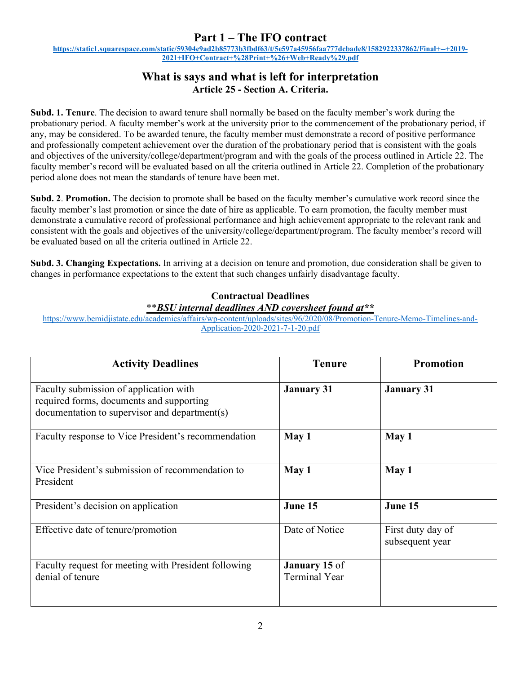### **Part 1 – The IFO contract**

**[https://static1.squarespace.com/static/59304e9ad2b85773b3fbdf63/t/5e597a45956faa777dcbade8/1582922337862/Final+--+2019-](https://static1.squarespace.com/static/59304e9ad2b85773b3fbdf63/t/5e597a45956faa777dcbade8/1582922337862/Final+--+2019-2021+IFO+Contract+%28Print+%26+Web+Ready%29.pdf) [2021+IFO+Contract+%28Print+%26+Web+Ready%29.pdf](https://static1.squarespace.com/static/59304e9ad2b85773b3fbdf63/t/5e597a45956faa777dcbade8/1582922337862/Final+--+2019-2021+IFO+Contract+%28Print+%26+Web+Ready%29.pdf)**

#### **What is says and what is left for interpretation Article 25 - Section A. Criteria.**

**Subd. 1. Tenure**. The decision to award tenure shall normally be based on the faculty member's work during the probationary period. A faculty member's work at the university prior to the commencement of the probationary period, if any, may be considered. To be awarded tenure, the faculty member must demonstrate a record of positive performance and professionally competent achievement over the duration of the probationary period that is consistent with the goals and objectives of the university/college/department/program and with the goals of the process outlined in Article 22. The faculty member's record will be evaluated based on all the criteria outlined in Article 22. Completion of the probationary period alone does not mean the standards of tenure have been met.

**Subd. 2**. **Promotion.** The decision to promote shall be based on the faculty member's cumulative work record since the faculty member's last promotion or since the date of hire as applicable. To earn promotion, the faculty member must demonstrate a cumulative record of professional performance and high achievement appropriate to the relevant rank and consistent with the goals and objectives of the university/college/department/program. The faculty member's record will be evaluated based on all the criteria outlined in Article 22.

**Subd. 3. Changing Expectations.** In arriving at a decision on tenure and promotion, due consideration shall be given to changes in performance expectations to the extent that such changes unfairly disadvantage faculty.

#### **Contractual Deadlines**

#### \*\**BSU internal deadlines AND coversheet found at\*\**

[https://www.bemidjistate.edu/academics/affairs/wp-content/uploads/sites/96/2020/08/Promotion-Tenure-Memo-Timelines-and-](https://www.bemidjistate.edu/academics/affairs/wp-content/uploads/sites/96/2020/08/Promotion-Tenure-Memo-Timelines-and-Application-2020-2021-7-1-20.pdf)[Application-2020-2021-7-1-20.pdf](https://www.bemidjistate.edu/academics/affairs/wp-content/uploads/sites/96/2020/08/Promotion-Tenure-Memo-Timelines-and-Application-2020-2021-7-1-20.pdf)

| <b>Activity Deadlines</b>                                                                                                           | <b>Tenure</b>                         | <b>Promotion</b>                     |
|-------------------------------------------------------------------------------------------------------------------------------------|---------------------------------------|--------------------------------------|
| Faculty submission of application with<br>required forms, documents and supporting<br>documentation to supervisor and department(s) | <b>January 31</b>                     | <b>January 31</b>                    |
| Faculty response to Vice President's recommendation                                                                                 | May 1                                 | May 1                                |
| Vice President's submission of recommendation to<br>President                                                                       | May 1                                 | May 1                                |
| President's decision on application                                                                                                 | June 15                               | June 15                              |
| Effective date of tenure/promotion                                                                                                  | Date of Notice                        | First duty day of<br>subsequent year |
| Faculty request for meeting with President following<br>denial of tenure                                                            | January 15 of<br><b>Terminal Year</b> |                                      |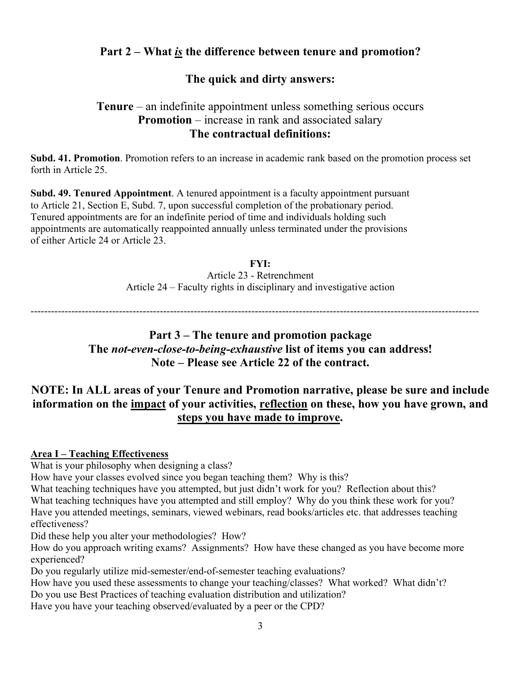# **Part 2 – What** *is* **the difference between tenure and promotion?**

### **The quick and dirty answers:**

### **Tenure** – an indefinite appointment unless something serious occurs **Promotion** – increase in rank and associated salary **The contractual definitions:**

**Subd. 41. Promotion**. Promotion refers to an increase in academic rank based on the promotion process set forth in Article 25.

**Subd. 49. Tenured Appointment**. A tenured appointment is a faculty appointment pursuant to Article 21, Section E, Subd. 7, upon successful completion of the probationary period. Tenured appointments are for an indefinite period of time and individuals holding such appointments are automatically reappointed annually unless terminated under the provisions of either Article 24 or Article 23.

> **FYI:** Article 23 - Retrenchment Article 24 – Faculty rights in disciplinary and investigative action

------------------------------------------------------------------------------------------------------------------------------------

### **Part 3 – The tenure and promotion package The** *not-even-close-to-being-exhaustive* **list of items you can address! Note – Please see Article 22 of the contract.**

## **NOTE: In ALL areas of your Tenure and Promotion narrative, please be sure and include information on the impact of your activities, reflection on these, how you have grown, and steps you have made to improve.**

#### **Area I – Teaching Effectiveness**

What is your philosophy when designing a class?

How have your classes evolved since you began teaching them? Why is this?

What teaching techniques have you attempted, but just didn't work for you? Reflection about this? What teaching techniques have you attempted and still employ? Why do you think these work for you? Have you attended meetings, seminars, viewed webinars, read books/articles etc. that addresses teaching effectiveness?

Did these help you alter your methodologies? How?

How do you approach writing exams? Assignments? How have these changed as you have become more experienced?

Do you regularly utilize mid-semester/end-of-semester teaching evaluations?

How have you used these assessments to change your teaching/classes? What worked? What didn't?

Do you use Best Practices of teaching evaluation distribution and utilization?

Have you have your teaching observed/evaluated by a peer or the CPD?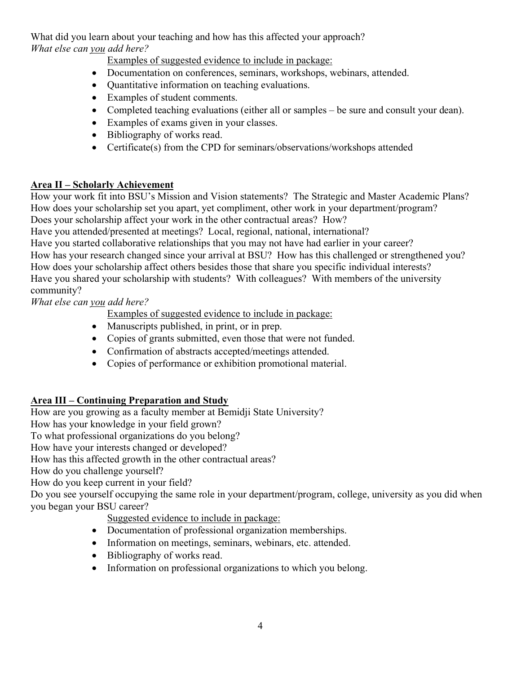What did you learn about your teaching and how has this affected your approach? *What else can you add here?*

Examples of suggested evidence to include in package:

- Documentation on conferences, seminars, workshops, webinars, attended.
- Quantitative information on teaching evaluations.
- Examples of student comments.
- Completed teaching evaluations (either all or samples be sure and consult your dean).
- Examples of exams given in your classes.
- Bibliography of works read.
- Certificate(s) from the CPD for seminars/observations/workshops attended

#### **Area II – Scholarly Achievement**

How your work fit into BSU's Mission and Vision statements? The Strategic and Master Academic Plans? How does your scholarship set you apart, yet compliment, other work in your department/program? Does your scholarship affect your work in the other contractual areas? How?

Have you attended/presented at meetings? Local, regional, national, international?

Have you started collaborative relationships that you may not have had earlier in your career?

How has your research changed since your arrival at BSU? How has this challenged or strengthened you? How does your scholarship affect others besides those that share you specific individual interests?

Have you shared your scholarship with students? With colleagues? With members of the university community?

*What else can you add here?*

Examples of suggested evidence to include in package:

- Manuscripts published, in print, or in prep.
- Copies of grants submitted, even those that were not funded.
- Confirmation of abstracts accepted/meetings attended.
- Copies of performance or exhibition promotional material.

#### **Area III – Continuing Preparation and Study**

How are you growing as a faculty member at Bemidji State University?

How has your knowledge in your field grown?

To what professional organizations do you belong?

How have your interests changed or developed?

How has this affected growth in the other contractual areas?

How do you challenge yourself?

How do you keep current in your field?

Do you see yourself occupying the same role in your department/program, college, university as you did when you began your BSU career?

Suggested evidence to include in package:

- Documentation of professional organization memberships.
- Information on meetings, seminars, webinars, etc. attended.
- Bibliography of works read.
- Information on professional organizations to which you belong.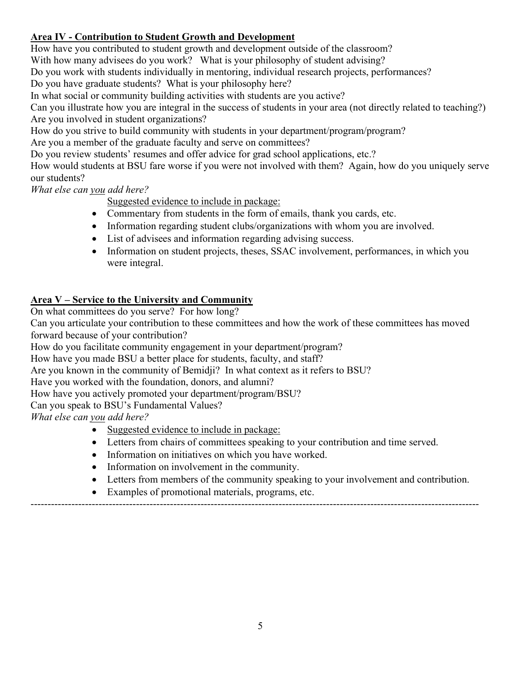### **Area IV - Contribution to Student Growth and Development**

How have you contributed to student growth and development outside of the classroom? With how many advisees do you work? What is your philosophy of student advising? Do you work with students individually in mentoring, individual research projects, performances?

Do you have graduate students? What is your philosophy here?

In what social or community building activities with students are you active?

Can you illustrate how you are integral in the success of students in your area (not directly related to teaching?) Are you involved in student organizations?

How do you strive to build community with students in your department/program/program?

Are you a member of the graduate faculty and serve on committees?

Do you review students' resumes and offer advice for grad school applications, etc.?

How would students at BSU fare worse if you were not involved with them? Again, how do you uniquely serve our students?

*What else can you add here?*

Suggested evidence to include in package:

- Commentary from students in the form of emails, thank you cards, etc.
- Information regarding student clubs/organizations with whom you are involved.
- List of advisees and information regarding advising success.
- Information on student projects, theses, SSAC involvement, performances, in which you were integral.

#### **Area V – Service to the University and Community**

On what committees do you serve? For how long?

Can you articulate your contribution to these committees and how the work of these committees has moved forward because of your contribution?

How do you facilitate community engagement in your department/program?

How have you made BSU a better place for students, faculty, and staff?

Are you known in the community of Bemidji? In what context as it refers to BSU?

Have you worked with the foundation, donors, and alumni?

How have you actively promoted your department/program/BSU?

Can you speak to BSU's Fundamental Values?

*What else can you add here?*

- Suggested evidence to include in package:
- Letters from chairs of committees speaking to your contribution and time served.

------------------------------------------------------------------------------------------------------------------------------------

- Information on initiatives on which you have worked.
- Information on involvement in the community.
- Letters from members of the community speaking to your involvement and contribution.
- Examples of promotional materials, programs, etc.